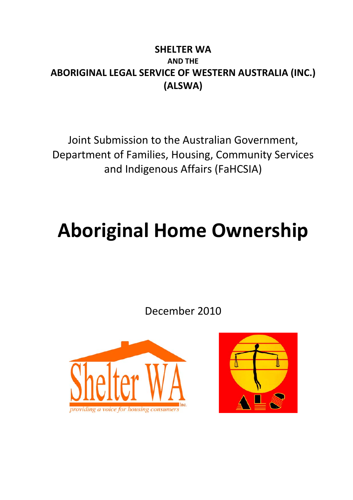### **SHELTER WA AND THE ABORIGINAL LEGAL SERVICE OF WESTERN AUSTRALIA (INC.) (ALSWA)**

Joint Submission to the Australian Government, Department of Families, Housing, Community Services and Indigenous Affairs (FaHCSIA)

# **Aboriginal Home Ownership**

December 2010



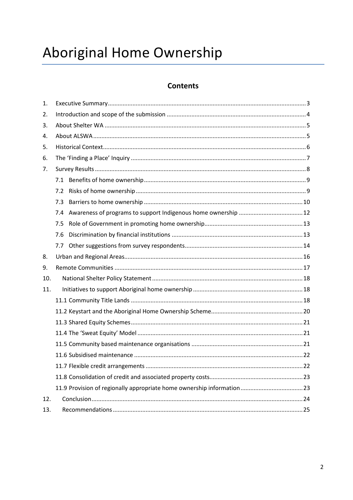## Aboriginal Home Ownership

#### **Contents**

| 1.  |     |  |  |
|-----|-----|--|--|
| 2.  |     |  |  |
| 3.  |     |  |  |
| 4.  |     |  |  |
| 5.  |     |  |  |
| 6.  |     |  |  |
| 7.  |     |  |  |
|     | 7.1 |  |  |
|     | 7.2 |  |  |
|     | 7.3 |  |  |
|     | 7.4 |  |  |
|     | 7.5 |  |  |
|     | 7.6 |  |  |
|     | 7.7 |  |  |
| 8.  |     |  |  |
| 9.  |     |  |  |
| 10. |     |  |  |
| 11. |     |  |  |
|     |     |  |  |
|     |     |  |  |
|     |     |  |  |
|     |     |  |  |
|     |     |  |  |
|     |     |  |  |
|     |     |  |  |
|     |     |  |  |
|     |     |  |  |
| 12. |     |  |  |
| 13. |     |  |  |
|     |     |  |  |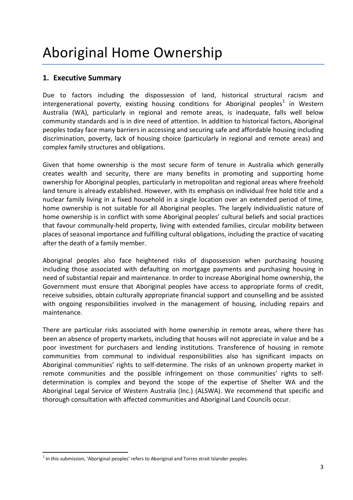#### <span id="page-2-0"></span>**1. Executive Summary**

Due to factors including the dispossession of land, historical structural racism and intergenerational poverty, existing housing conditions for Aboriginal peoples<sup>[1](#page-2-1)</sup> in Western Australia (WA), particularly in regional and remote areas, is inadequate, falls well below community standards and is in dire need of attention. In addition to historical factors, Aboriginal peoples today face many barriers in accessing and securing safe and affordable housing including discrimination, poverty, lack of housing choice (particularly in regional and remote areas) and complex family structures and obligations.

Given that home ownership is the most secure form of tenure in Australia which generally creates wealth and security, there are many benefits in promoting and supporting home ownership for Aboriginal peoples, particularly in metropolitan and regional areas where freehold land tenure is already established. However, with its emphasis on individual free hold title and a nuclear family living in a fixed household in a single location over an extended period of time, home ownership is not suitable for all Aboriginal peoples. The largely individualistic nature of home ownership is in conflict with some Aboriginal peoples' cultural beliefs and social practices that favour communally-held property, living with extended families, circular mobility between places of seasonal importance and fulfilling cultural obligations, including the practice of vacating after the death of a family member.

Aboriginal peoples also face heightened risks of dispossession when purchasing housing including those associated with defaulting on mortgage payments and purchasing housing in need of substantial repair and maintenance. In order to increase Aboriginal home ownership, the Government must ensure that Aboriginal peoples have access to appropriate forms of credit, receive subsidies, obtain culturally appropriate financial support and counselling and be assisted with ongoing responsibilities involved in the management of housing, including repairs and maintenance.

There are particular risks associated with home ownership in remote areas, where there has been an absence of property markets, including that houses will not appreciate in value and be a poor investment for purchasers and lending institutions. Transference of housing in remote communities from communal to individual responsibilities also has significant impacts on Aboriginal communities' rights to self-determine. The risks of an unknown property market in remote communities and the possible infringement on those communities' rights to selfdetermination is complex and beyond the scope of the expertise of Shelter WA and the Aboriginal Legal Service of Western Australia (Inc.) (ALSWA). We recommend that specific and thorough consultation with affected communities and Aboriginal Land Councils occur.

<span id="page-2-1"></span> $<sup>1</sup>$  In this submission, 'Aboriginal peoples' refers to Aboriginal and Torres strait Islander peoples.</sup>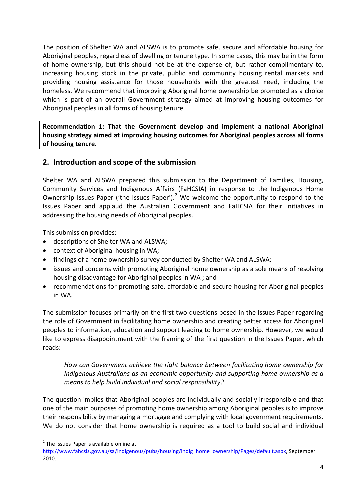The position of Shelter WA and ALSWA is to promote safe, secure and affordable housing for Aboriginal peoples, regardless of dwelling or tenure type. In some cases, this may be in the form of home ownership, but this should not be at the expense of, but rather complimentary to, increasing housing stock in the private, public and community housing rental markets and providing housing assistance for those households with the greatest need, including the homeless. We recommend that improving Aboriginal home ownership be promoted as a choice which is part of an overall Government strategy aimed at improving housing outcomes for Aboriginal peoples in all forms of housing tenure.

**Recommendation 1: That the Government develop and implement a national Aboriginal housing strategy aimed at improving housing outcomes for Aboriginal peoples across all forms of housing tenure.**

#### <span id="page-3-0"></span>**2. Introduction and scope of the submission**

Shelter WA and ALSWA prepared this submission to the Department of Families, Housing, Community Services and Indigenous Affairs (FaHCSIA) in response to the Indigenous Home Ownership Issues Paper ('the Issues Paper').<sup>[2](#page-3-1)</sup> We welcome the opportunity to respond to the Issues Paper and applaud the Australian Government and FaHCSIA for their initiatives in addressing the housing needs of Aboriginal peoples.

This submission provides:

- descriptions of Shelter WA and ALSWA;
- context of Aboriginal housing in WA;
- findings of a home ownership survey conducted by Shelter WA and ALSWA;
- issues and concerns with promoting Aboriginal home ownership as a sole means of resolving housing disadvantage for Aboriginal peoples in WA ; and
- recommendations for promoting safe, affordable and secure housing for Aboriginal peoples in WA.

The submission focuses primarily on the first two questions posed in the Issues Paper regarding the role of Government in facilitating home ownership and creating better access for Aboriginal peoples to information, education and support leading to home ownership. However, we would like to express disappointment with the framing of the first question in the Issues Paper, which reads:

*How can Government achieve the right balance between facilitating home ownership for Indigenous Australians as an economic opportunity and supporting home ownership as a means to help build individual and social responsibility?*

The question implies that Aboriginal peoples are individually and socially irresponsible and that one of the main purposes of promoting home ownership among Aboriginal peoples is to improve their responsibility by managing a mortgage and complying with local government requirements. We do not consider that home ownership is required as a tool to build social and individual

<span id="page-3-1"></span><sup>&</sup>lt;sup>2</sup> The Issues Paper is available online at

[http://www.fahcsia.gov.au/sa/indigenous/pubs/housing/indig\\_home\\_ownership/Pages/default.aspx,](http://www.fahcsia.gov.au/sa/indigenous/pubs/housing/indig_home_ownership/Pages/default.aspx) September 2010.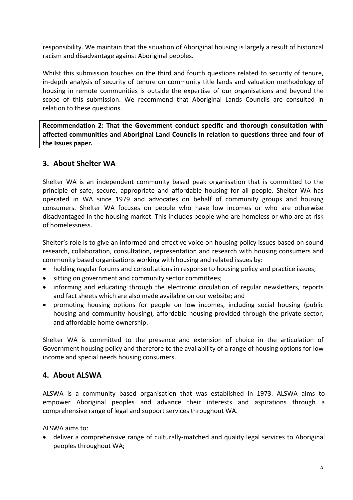responsibility. We maintain that the situation of Aboriginal housing is largely a result of historical racism and disadvantage against Aboriginal peoples.

Whilst this submission touches on the third and fourth questions related to security of tenure, in-depth analysis of security of tenure on community title lands and valuation methodology of housing in remote communities is outside the expertise of our organisations and beyond the scope of this submission. We recommend that Aboriginal Lands Councils are consulted in relation to these questions.

**Recommendation 2: That the Government conduct specific and thorough consultation with affected communities and Aboriginal Land Councils in relation to questions three and four of the Issues paper.**

#### <span id="page-4-0"></span>**3. About Shelter WA**

Shelter WA is an independent community based peak organisation that is committed to the principle of safe, secure, appropriate and affordable housing for all people. Shelter WA has operated in WA since 1979 and advocates on behalf of community groups and housing consumers. Shelter WA focuses on people who have low incomes or who are otherwise disadvantaged in the housing market. This includes people who are homeless or who are at risk of homelessness.

Shelter's role is to give an informed and effective voice on housing policy issues based on sound research, collaboration, consultation, representation and research with housing consumers and community based organisations working with housing and related issues by:

- holding regular forums and consultations in response to housing policy and practice issues;
- sitting on government and community sector committees;
- informing and educating through the electronic circulation of regular newsletters, reports and fact sheets which are also made available on our website; and
- promoting housing options for people on low incomes, including social housing (public housing and community housing), affordable housing provided through the private sector, and affordable home ownership.

Shelter WA is committed to the presence and extension of choice in the articulation of Government housing policy and therefore to the availability of a range of housing options for low income and special needs housing consumers.

#### <span id="page-4-1"></span>**4. About ALSWA**

ALSWA is a community based organisation that was established in 1973. ALSWA aims to empower Aboriginal peoples and advance their interests and aspirations through a comprehensive range of legal and support services throughout WA.

ALSWA aims to:

• deliver a comprehensive range of culturally-matched and quality legal services to Aboriginal peoples throughout WA;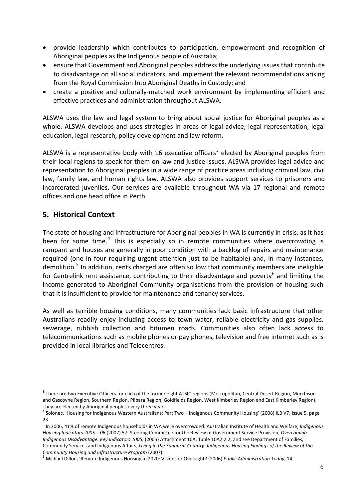- provide leadership which contributes to participation, empowerment and recognition of Aboriginal peoples as the Indigenous people of Australia;
- ensure that Government and Aboriginal peoples address the underlying issues that contribute to disadvantage on all social indicators, and implement the relevant recommendations arising from the Royal Commission Into Aboriginal Deaths in Custody; and
- create a positive and culturally-matched work environment by implementing efficient and effective practices and administration throughout ALSWA.

ALSWA uses the law and legal system to bring about social justice for Aboriginal peoples as a whole. ALSWA develops and uses strategies in areas of legal advice, legal representation, legal education, legal research, policy development and law reform.

ALSWA is a representative body with 16 executive officers<sup>[3](#page-5-1)</sup> elected by Aboriginal peoples from their local regions to speak for them on law and justice issues. ALSWA provides legal advice and representation to Aboriginal peoples in a wide range of practice areas including criminal law, civil law, family law, and human rights law. ALSWA also provides support services to prisoners and incarcerated juveniles. Our services are available throughout WA via 17 regional and remote offices and one head office in Perth

#### <span id="page-5-0"></span>**5. Historical Context**

The state of housing and infrastructure for Aboriginal peoples in WA is currently in crisis, as it has been for some time.<sup>[4](#page-5-2)</sup> This is especially so in remote communities where overcrowding is rampant and houses are generally in poor condition with a backlog of repairs and maintenance required (one in four requiring urgent attention just to be habitable) and, in many instances, demolition.<sup>[5](#page-5-3)</sup> In addition, rents charged are often so low that community members are ineligible for Centrelink rent assistance, contributing to their disadvantage and poverty<sup>[6](#page-5-4)</sup> and limiting the income generated to Aboriginal Community organisations from the provision of housing such that it is insufficient to provide for maintenance and tenancy services.

As well as terrible housing conditions, many communities lack basic infrastructure that other Australians readily enjoy including access to town water, reliable electricity and gas supplies, sewerage, rubbish collection and bitumen roads. Communities also often lack access to telecommunications such as mobile phones or pay phones, television and free internet such as is provided in local libraries and Telecentres.

<span id="page-5-1"></span><sup>&</sup>lt;sup>3</sup> There are two Executive Officers for each of the former eight ATSIC regions (Metropolitan, Central Desert Region, Murchison and Gascoyne Region, Southern Region, Pilbara Region, Goldfields Region, West Kimberley Region and East Kimberley Region). They are elected by Aboriginal peoples every three years.

<span id="page-5-2"></span><sup>4</sup> Solonec, 'Housing for Indigenous Western Australians: Part Two – Indigenous Community Housing' (2008) ILB V7, Issue 5, page 23.

<span id="page-5-3"></span><sup>5</sup> In 2006, 41% of remote Indigenous households in WA were overcrowded: Australian Institute of Health and Welfare, *Indigenous Housing Indicators 2005 – 06* (2007) 57. Steering Committee for the Review of Government Service Provision, *Overcoming Indigenous Disadvantage: Key Indicators 2005,* (2005) Attachment 10A, Table 10A2.2.2; and see Department of Families, Community Services and Indigenous Affairs, *Living in the Sunburnt Country: Indigenous Housing Findings of the Review of the* 

<span id="page-5-4"></span>*Community Housing and Infrastructure Program* (2007). <sup>6</sup> Michael Dillon, 'Remote Indigenous Housing in 2020: Visions or Oversight? (2006) *Public Administration Today*, 14.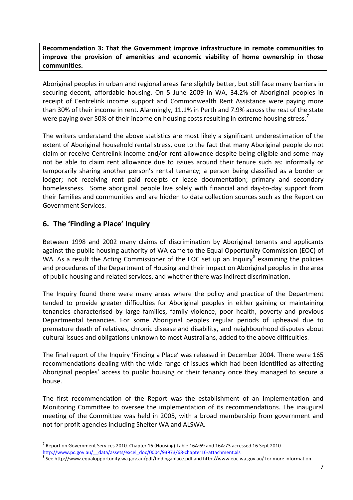**Recommendation 3: That the Government improve infrastructure in remote communities to improve the provision of amenities and economic viability of home ownership in those communities.**

Aboriginal peoples in urban and regional areas fare slightly better, but still face many barriers in securing decent, affordable housing. On 5 June 2009 in WA, 34.2% of Aboriginal peoples in receipt of Centrelink income support and Commonwealth Rent Assistance were paying more than 30% of their income in rent. Alarmingly, 11.1% in Perth and 7.9% across the rest of the state were paying over 50% of their income on housing costs resulting in extreme housing stress.<sup>[7](#page-6-1)</sup>

The writers understand the above statistics are most likely a significant underestimation of the extent of Aboriginal household rental stress, due to the fact that many Aboriginal people do not claim or receive Centrelink income and/or rent allowance despite being eligible and some may not be able to claim rent allowance due to issues around their tenure such as: informally or temporarily sharing another person's rental tenancy; a person being classified as a border or lodger; not receiving rent paid receipts or lease documentation; primary and secondary homelessness. Some aboriginal people live solely with financial and day-to-day support from their families and communities and are hidden to data collection sources such as the Report on Government Services.

#### <span id="page-6-0"></span>**6. The 'Finding a Place' Inquiry**

Between 1998 and 2002 many claims of discrimination by Aboriginal tenants and applicants against the public housing authority of WA came to the Equal Opportunity Commission (EOC) of WA. As a result the Acting Commissioner of the EOC set up an Inquiry<sup>[8](#page-6-2)</sup> examining the policies and procedures of the Department of Housing and their impact on Aboriginal peoples in the area of public housing and related services, and whether there was indirect discrimination.

The Inquiry found there were many areas where the policy and practice of the Department tended to provide greater difficulties for Aboriginal peoples in either gaining or maintaining tenancies characterised by large families, family violence, poor health, poverty and previous Departmental tenancies. For some Aboriginal peoples regular periods of upheaval due to premature death of relatives, chronic disease and disability, and neighbourhood disputes about cultural issues and obligations unknown to most Australians, added to the above difficulties.

The final report of the Inquiry 'Finding a Place' was released in December 2004. There were 165 recommendations dealing with the wide range of issues which had been identified as affecting Aboriginal peoples' access to public housing or their tenancy once they managed to secure a house.

The first recommendation of the Report was the establishment of an Implementation and Monitoring Committee to oversee the implementation of its recommendations. The inaugural meeting of the Committee was held in 2005, with a broad membership from government and not for profit agencies including Shelter WA and ALSWA.

<span id="page-6-1"></span> <sup>7</sup> Report on Government Services 2010. Chapter 16 (Housing) Table 16A:69 and 16A:73 accessed 16 Sept 2010 [http://www.pc.gov.au/\\_\\_data/assets/excel\\_doc/0004/93973/68-chapter16-attachment.xls](http://www.pc.gov.au/__data/assets/excel_doc/0004/93973/68-chapter16-attachment.xls)<br><sup>8</sup> Se[e http://www.equalopportunity.wa.gov.au/pdf/findingaplace.pdf](http://www.equalopportunity.wa.gov.au/pdf/findingaplace.pdf) and<http://www.eoc.wa.gov.au/> for more information.

<span id="page-6-2"></span>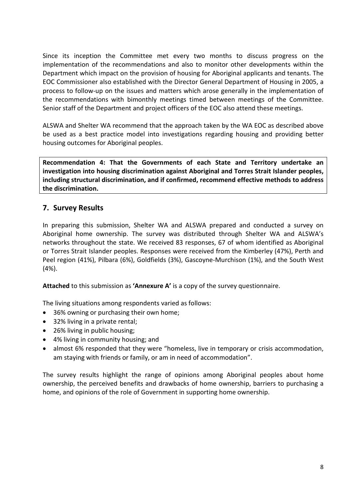Since its inception the Committee met every two months to discuss progress on the implementation of the recommendations and also to monitor other developments within the Department which impact on the provision of housing for Aboriginal applicants and tenants. The EOC Commissioner also established with the Director General Department of Housing in 2005, a process to follow-up on the issues and matters which arose generally in the implementation of the recommendations with bimonthly meetings timed between meetings of the Committee. Senior staff of the Department and project officers of the EOC also attend these meetings.

ALSWA and Shelter WA recommend that the approach taken by the WA EOC as described above be used as a best practice model into investigations regarding housing and providing better housing outcomes for Aboriginal peoples.

**Recommendation 4: That the Governments of each State and Territory undertake an investigation into housing discrimination against Aboriginal and Torres Strait Islander peoples, including structural discrimination, and if confirmed, recommend effective methods to address the discrimination.**

#### <span id="page-7-0"></span>**7. Survey Results**

In preparing this submission, Shelter WA and ALSWA prepared and conducted a survey on Aboriginal home ownership. The survey was distributed through Shelter WA and ALSWA's networks throughout the state. We received 83 responses, 67 of whom identified as Aboriginal or Torres Strait Islander peoples. Responses were received from the Kimberley (47%), Perth and Peel region (41%), Pilbara (6%), Goldfields (3%), Gascoyne-Murchison (1%), and the South West (4%).

**Attached** to this submission as **'Annexure A'** is a copy of the survey questionnaire.

The living situations among respondents varied as follows:

- 36% owning or purchasing their own home;
- 32% living in a private rental;
- 26% living in public housing;
- 4% living in community housing; and
- almost 6% responded that they were "homeless, live in temporary or crisis accommodation, am staying with friends or family, or am in need of accommodation".

The survey results highlight the range of opinions among Aboriginal peoples about home ownership, the perceived benefits and drawbacks of home ownership, barriers to purchasing a home, and opinions of the role of Government in supporting home ownership.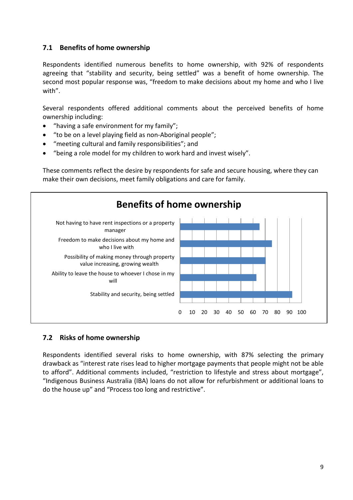#### <span id="page-8-0"></span>**7.1 Benefits of home ownership**

Respondents identified numerous benefits to home ownership, with 92% of respondents agreeing that "stability and security, being settled" was a benefit of home ownership. The second most popular response was, "freedom to make decisions about my home and who I live with".

Several respondents offered additional comments about the perceived benefits of home ownership including:

- "having a safe environment for my family";
- "to be on a level playing field as non-Aboriginal people";
- "meeting cultural and family responsibilities"; and
- "being a role model for my children to work hard and invest wisely".

These comments reflect the desire by respondents for safe and secure housing, where they can make their own decisions, meet family obligations and care for family.



#### <span id="page-8-1"></span>**7.2 Risks of home ownership**

Respondents identified several risks to home ownership, with 87% selecting the primary drawback as "interest rate rises lead to higher mortgage payments that people might not be able to afford". Additional comments included, "restriction to lifestyle and stress about mortgage", "Indigenous Business Australia (IBA) loans do not allow for refurbishment or additional loans to do the house up" and "Process too long and restrictive".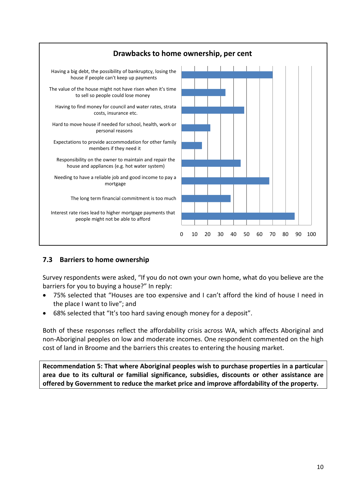

#### <span id="page-9-0"></span>**7.3 Barriers to home ownership**

Survey respondents were asked, "If you do not own your own home, what do you believe are the barriers for you to buying a house?" In reply:

- 75% selected that "Houses are too expensive and I can't afford the kind of house I need in the place I want to live"; and
- 68% selected that "It's too hard saving enough money for a deposit".

Both of these responses reflect the affordability crisis across WA, which affects Aboriginal and non-Aboriginal peoples on low and moderate incomes. One respondent commented on the high cost of land in Broome and the barriers this creates to entering the housing market.

**Recommendation 5: That where Aboriginal peoples wish to purchase properties in a particular area due to its cultural or familial significance, subsidies, discounts or other assistance are offered by Government to reduce the market price and improve affordability of the property.**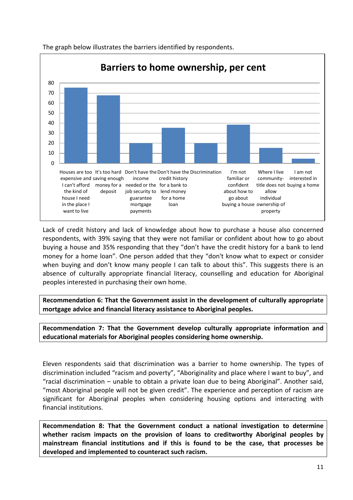

The graph below illustrates the barriers identified by respondents.

Lack of credit history and lack of knowledge about how to purchase a house also concerned respondents, with 39% saying that they were not familiar or confident about how to go about buying a house and 35% responding that they "don't have the credit history for a bank to lend money for a home loan". One person added that they "don't know what to expect or consider when buying and don't know many people I can talk to about this". This suggests there is an absence of culturally appropriate financial literacy, counselling and education for Aboriginal peoples interested in purchasing their own home.

**Recommendation 6: That the Government assist in the development of culturally appropriate mortgage advice and financial literacy assistance to Aboriginal peoples.** 

**Recommendation 7: That the Government develop culturally appropriate information and educational materials for Aboriginal peoples considering home ownership.** 

Eleven respondents said that discrimination was a barrier to home ownership. The types of discrimination included "racism and poverty", "Aboriginality and place where I want to buy", and "racial discrimination – unable to obtain a private loan due to being Aboriginal". Another said, "most Aboriginal people will not be given credit". The experience and perception of racism are significant for Aboriginal peoples when considering housing options and interacting with financial institutions.

**Recommendation 8: That the Government conduct a national investigation to determine whether racism impacts on the provision of loans to creditworthy Aboriginal peoples by mainstream financial institutions and if this is found to be the case, that processes be developed and implemented to counteract such racism.**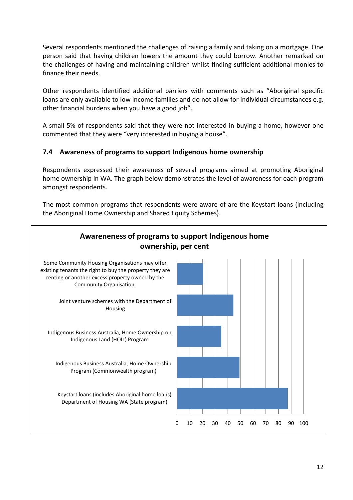Several respondents mentioned the challenges of raising a family and taking on a mortgage. One person said that having children lowers the amount they could borrow. Another remarked on the challenges of having and maintaining children whilst finding sufficient additional monies to finance their needs.

Other respondents identified additional barriers with comments such as "Aboriginal specific loans are only available to low income families and do not allow for individual circumstances e.g. other financial burdens when you have a good job".

A small 5% of respondents said that they were not interested in buying a home, however one commented that they were "very interested in buying a house".

#### <span id="page-11-0"></span>**7.4 Awareness of programs to support Indigenous home ownership**

Respondents expressed their awareness of several programs aimed at promoting Aboriginal home ownership in WA. The graph below demonstrates the level of awareness for each program amongst respondents.

The most common programs that respondents were aware of are the Keystart loans (including the Aboriginal Home Ownership and Shared Equity Schemes).

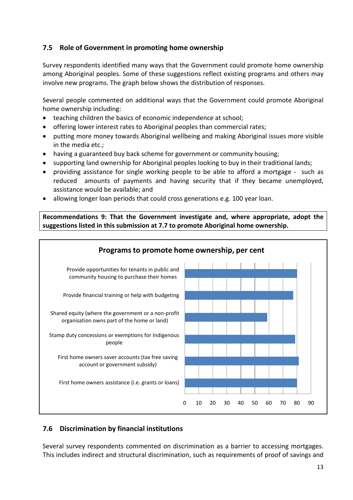#### <span id="page-12-0"></span>**7.5 Role of Government in promoting home ownership**

Survey respondents identified many ways that the Government could promote home ownership among Aboriginal peoples. Some of these suggestions reflect existing programs and others may involve new programs. The graph below shows the distribution of responses.

Several people commented on additional ways that the Government could promote Aboriginal home ownership including:

- teaching children the basics of economic independence at school;
- offering lower interest rates to Aboriginal peoples than commercial rates;
- putting more money towards Aboriginal wellbeing and making Aboriginal issues more visible in the media etc.;
- having a guaranteed buy back scheme for government or community housing;
- supporting land ownership for Aboriginal peoples looking to buy in their traditional lands;
- providing assistance for single working people to be able to afford a mortgage such as reduced amounts of payments and having security that if they became unemployed, assistance would be available; and
- allowing longer loan periods that could cross generations e.g. 100 year loan.

**Recommendations 9: That the Government investigate and, where appropriate, adopt the suggestions listed in this submission at 7.7 to promote Aboriginal home ownership.**



#### <span id="page-12-1"></span>**7.6 Discrimination by financial institutions**

Several survey respondents commented on discrimination as a barrier to accessing mortgages. This includes indirect and structural discrimination, such as requirements of proof of savings and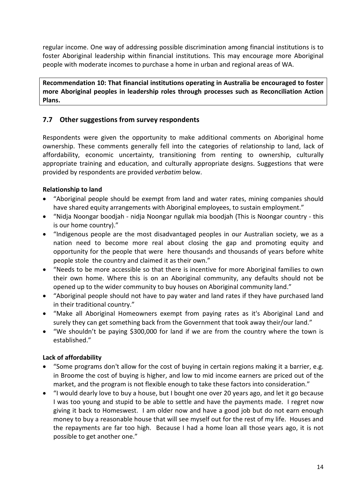regular income. One way of addressing possible discrimination among financial institutions is to foster Aboriginal leadership within financial institutions. This may encourage more Aboriginal people with moderate incomes to purchase a home in urban and regional areas of WA.

**Recommendation 10: That financial institutions operating in Australia be encouraged to foster more Aboriginal peoples in leadership roles through processes such as Reconciliation Action Plans.**

#### <span id="page-13-0"></span>**7.7 Other suggestions from survey respondents**

Respondents were given the opportunity to make additional comments on Aboriginal home ownership. These comments generally fell into the categories of relationship to land, lack of affordability, economic uncertainty, transitioning from renting to ownership, culturally appropriate training and education, and culturally appropriate designs. Suggestions that were provided by respondents are provided *verbatim* below.

#### **Relationship to land**

- "Aboriginal people should be exempt from land and water rates, mining companies should have shared equity arrangements with Aboriginal employees, to sustain employment."
- "Nidja Noongar boodjah nidja Noongar ngullak mia boodjah (This is Noongar country this is our home country)."
- "Indigenous people are the most disadvantaged peoples in our Australian society, we as a nation need to become more real about closing the gap and promoting equity and opportunity for the people that were here thousands and thousands of years before white people stole the country and claimed it as their own."
- "Needs to be more accessible so that there is incentive for more Aboriginal families to own their own home. Where this is on an Aboriginal community, any defaults should not be opened up to the wider community to buy houses on Aboriginal community land."
- "Aboriginal people should not have to pay water and land rates if they have purchased land in their traditional country."
- "Make all Aboriginal Homeowners exempt from paying rates as it's Aboriginal Land and surely they can get something back from the Government that took away their/our land."
- "We shouldn't be paying \$300,000 for land if we are from the country where the town is established."

#### **Lack of affordability**

- "Some programs don't allow for the cost of buying in certain regions making it a barrier, e.g. in Broome the cost of buying is higher, and low to mid income earners are priced out of the market, and the program is not flexible enough to take these factors into consideration."
- "I would dearly love to buy a house, but I bought one over 20 years ago, and let it go because I was too young and stupid to be able to settle and have the payments made. I regret now giving it back to Homeswest. I am older now and have a good job but do not earn enough money to buy a reasonable house that will see myself out for the rest of my life. Houses and the repayments are far too high. Because I had a home loan all those years ago, it is not possible to get another one."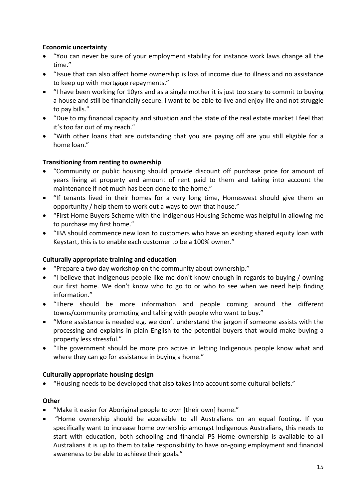#### **Economic uncertainty**

- "You can never be sure of your employment stability for instance work laws change all the time."
- "Issue that can also affect home ownership is loss of income due to illness and no assistance to keep up with mortgage repayments."
- "I have been working for 10yrs and as a single mother it is just too scary to commit to buying a house and still be financially secure. I want to be able to live and enjoy life and not struggle to pay bills."
- "Due to my financial capacity and situation and the state of the real estate market I feel that it's too far out of my reach."
- "With other loans that are outstanding that you are paying off are you still eligible for a home loan."

#### **Transitioning from renting to ownership**

- "Community or public housing should provide discount off purchase price for amount of years living at property and amount of rent paid to them and taking into account the maintenance if not much has been done to the home."
- "If tenants lived in their homes for a very long time, Homeswest should give them an opportunity / help them to work out a ways to own that house."
- "First Home Buyers Scheme with the Indigenous Housing Scheme was helpful in allowing me to purchase my first home."
- "IBA should commence new loan to customers who have an existing shared equity loan with Keystart, this is to enable each customer to be a 100% owner."

#### **Culturally appropriate training and education**

- "Prepare a two day workshop on the community about ownership."
- "I believe that Indigenous people like me don't know enough in regards to buying / owning our first home. We don't know who to go to or who to see when we need help finding information."
- "There should be more information and people coming around the different towns/community promoting and talking with people who want to buy."
- "More assistance is needed e.g. we don't understand the jargon if someone assists with the processing and explains in plain English to the potential buyers that would make buying a property less stressful."
- "The government should be more pro active in letting Indigenous people know what and where they can go for assistance in buying a home."

#### **Culturally appropriate housing design**

• "Housing needs to be developed that also takes into account some cultural beliefs."

#### **Other**

- "Make it easier for Aboriginal people to own [their own] home."
- "Home ownership should be accessible to all Australians on an equal footing. If you specifically want to increase home ownership amongst Indigenous Australians, this needs to start with education, both schooling and financial PS Home ownership is available to all Australians it is up to them to take responsibility to have on-going employment and financial awareness to be able to achieve their goals."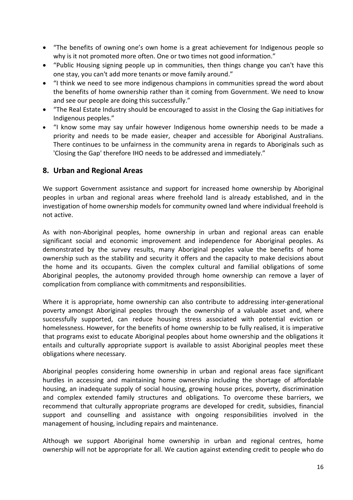- "The benefits of owning one's own home is a great achievement for Indigenous people so why is it not promoted more often. One or two times not good information."
- "Public Housing signing people up in communities, then things change you can't have this one stay, you can't add more tenants or move family around."
- "I think we need to see more indigenous champions in communities spread the word about the benefits of home ownership rather than it coming from Government. We need to know and see our people are doing this successfully."
- "The Real Estate Industry should be encouraged to assist in the Closing the Gap initiatives for Indigenous peoples."
- "I know some may say unfair however Indigenous home ownership needs to be made a priority and needs to be made easier, cheaper and accessible for Aboriginal Australians. There continues to be unfairness in the community arena in regards to Aboriginals such as 'Closing the Gap' therefore IHO needs to be addressed and immediately."

#### <span id="page-15-0"></span>**8. Urban and Regional Areas**

We support Government assistance and support for increased home ownership by Aboriginal peoples in urban and regional areas where freehold land is already established, and in the investigation of home ownership models for community owned land where individual freehold is not active.

As with non-Aboriginal peoples, home ownership in urban and regional areas can enable significant social and economic improvement and independence for Aboriginal peoples. As demonstrated by the survey results, many Aboriginal peoples value the benefits of home ownership such as the stability and security it offers and the capacity to make decisions about the home and its occupants. Given the complex cultural and familial obligations of some Aboriginal peoples, the autonomy provided through home ownership can remove a layer of complication from compliance with commitments and responsibilities.

Where it is appropriate, home ownership can also contribute to addressing inter-generational poverty amongst Aboriginal peoples through the ownership of a valuable asset and, where successfully supported, can reduce housing stress associated with potential eviction or homelessness. However, for the benefits of home ownership to be fully realised, it is imperative that programs exist to educate Aboriginal peoples about home ownership and the obligations it entails and culturally appropriate support is available to assist Aboriginal peoples meet these obligations where necessary.

Aboriginal peoples considering home ownership in urban and regional areas face significant hurdles in accessing and maintaining home ownership including the shortage of affordable housing, an inadequate supply of social housing, growing house prices, poverty, discrimination and complex extended family structures and obligations. To overcome these barriers, we recommend that culturally appropriate programs are developed for credit, subsidies, financial support and counselling and assistance with ongoing responsibilities involved in the management of housing, including repairs and maintenance.

Although we support Aboriginal home ownership in urban and regional centres, home ownership will not be appropriate for all. We caution against extending credit to people who do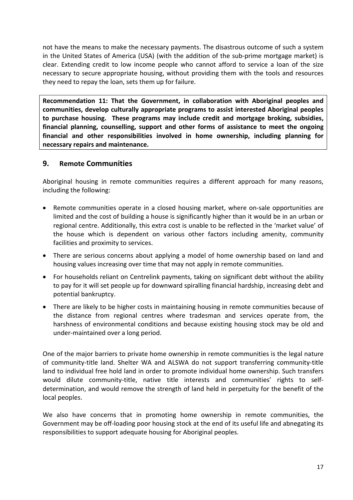not have the means to make the necessary payments. The disastrous outcome of such a system in the United States of America (USA) (with the addition of the sub-prime mortgage market) is clear. Extending credit to low income people who cannot afford to service a loan of the size necessary to secure appropriate housing, without providing them with the tools and resources they need to repay the loan, sets them up for failure.

**Recommendation 11: That the Government, in collaboration with Aboriginal peoples and communities, develop culturally appropriate programs to assist interested Aboriginal peoples to purchase housing. These programs may include credit and mortgage broking, subsidies, financial planning, counselling, support and other forms of assistance to meet the ongoing financial and other responsibilities involved in home ownership, including planning for necessary repairs and maintenance.**

#### <span id="page-16-0"></span>**9. Remote Communities**

Aboriginal housing in remote communities requires a different approach for many reasons, including the following:

- Remote communities operate in a closed housing market, where on-sale opportunities are limited and the cost of building a house is significantly higher than it would be in an urban or regional centre. Additionally, this extra cost is unable to be reflected in the 'market value' of the house which is dependent on various other factors including amenity, community facilities and proximity to services.
- There are serious concerns about applying a model of home ownership based on land and housing values increasing over time that may not apply in remote communities.
- For households reliant on Centrelink payments, taking on significant debt without the ability to pay for it will set people up for downward spiralling financial hardship, increasing debt and potential bankruptcy.
- There are likely to be higher costs in maintaining housing in remote communities because of the distance from regional centres where tradesman and services operate from, the harshness of environmental conditions and because existing housing stock may be old and under-maintained over a long period.

One of the major barriers to private home ownership in remote communities is the legal nature of community-title land. Shelter WA and ALSWA do not support transferring community-title land to individual free hold land in order to promote individual home ownership. Such transfers would dilute community-title, native title interests and communities' rights to selfdetermination, and would remove the strength of land held in perpetuity for the benefit of the local peoples.

We also have concerns that in promoting home ownership in remote communities, the Government may be off-loading poor housing stock at the end of its useful life and abnegating its responsibilities to support adequate housing for Aboriginal peoples.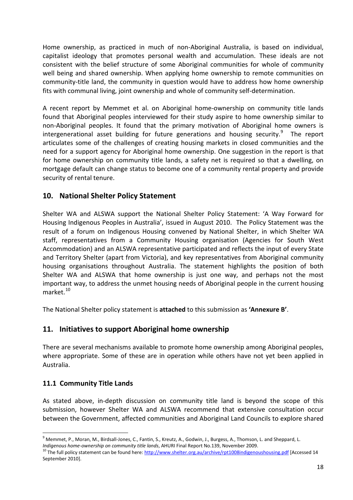Home ownership, as practiced in much of non-Aboriginal Australia, is based on individual, capitalist ideology that promotes personal wealth and accumulation. These ideals are not consistent with the belief structure of some Aboriginal communities for whole of community well being and shared ownership. When applying home ownership to remote communities on community-title land, the community in question would have to address how home ownership fits with communal living, joint ownership and whole of community self-determination.

A recent report by Memmet et al. on Aboriginal home-ownership on community title lands found that Aboriginal peoples interviewed for their study aspire to home ownership similar to non-Aboriginal peoples. It found that the primary motivation of Aboriginal home owners is intergenerational asset building for future generations and housing security.<sup>[9](#page-17-3)</sup> The report articulates some of the challenges of creating housing markets in closed communities and the need for a support agency for Aboriginal home ownership. One suggestion in the report is that for home ownership on community title lands, a safety net is required so that a dwelling, on mortgage default can change status to become one of a community rental property and provide security of rental tenure.

#### <span id="page-17-0"></span>**10. National Shelter Policy Statement**

Shelter WA and ALSWA support the National Shelter Policy Statement: 'A Way Forward for Housing Indigenous Peoples in Australia', issued in August 2010. The Policy Statement was the result of a forum on Indigenous Housing convened by National Shelter, in which Shelter WA staff, representatives from a Community Housing organisation (Agencies for South West Accommodation) and an ALSWA representative participated and reflects the input of every State and Territory Shelter (apart from Victoria), and key representatives from Aboriginal community housing organisations throughout Australia. The statement highlights the position of both Shelter WA and ALSWA that home ownership is just one way, and perhaps not the most important way, to address the unmet housing needs of Aboriginal people in the current housing market $10$ 

The National Shelter policy statement is **attached** to this submission as **'Annexure B'**.

#### <span id="page-17-1"></span>**11. Initiatives to support Aboriginal home ownership**

There are several mechanisms available to promote home ownership among Aboriginal peoples, where appropriate. Some of these are in operation while others have not yet been applied in Australia.

#### <span id="page-17-2"></span>**11.1 Community Title Lands**

As stated above, in-depth discussion on community title land is beyond the scope of this submission, however Shelter WA and ALSWA recommend that extensive consultation occur between the Government, affected communities and Aboriginal Land Councils to explore shared

<sup>&</sup>lt;sup>9</sup> Memmet, P., Moran, M., Birdsall-Jones, C., Fantin, S., Kreutz, A., Godwin, J., Burgess, A., Thomson, L. and Sheppard, L.

<span id="page-17-4"></span><span id="page-17-3"></span>*Indigenous home-ownership on community title lands*, AHURI Final Report No.139, November 2009.<br><sup>10</sup> The full policy statement can be found here:<http://www.shelter.org.au/archive/rpt1008indigenoushousing.pdf> [Accessed 14 September 2010].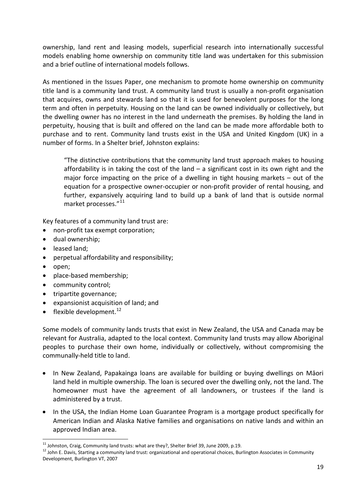ownership, land rent and leasing models, superficial research into internationally successful models enabling home ownership on community title land was undertaken for this submission and a brief outline of international models follows.

As mentioned in the Issues Paper, one mechanism to promote home ownership on community title land is a community land trust. A community land trust is usually a non-profit organisation that acquires, owns and stewards land so that it is used for benevolent purposes for the long term and often in perpetuity. Housing on the land can be owned individually or collectively, but the dwelling owner has no interest in the land underneath the premises. By holding the land in perpetuity, housing that is built and offered on the land can be made more affordable both to purchase and to rent. Community land trusts exist in the USA and United Kingdom (UK) in a number of forms. In a Shelter brief, Johnston explains:

"The distinctive contributions that the community land trust approach makes to housing affordability is in taking the cost of the land  $-$  a significant cost in its own right and the major force impacting on the price of a dwelling in tight housing markets – out of the equation for a prospective owner-occupier or non-profit provider of rental housing, and further, expansively acquiring land to build up a bank of land that is outside normal market processes."<sup>[11](#page-18-0)</sup>

Key features of a community land trust are:

- non-profit tax exempt corporation;
- dual ownership;
- leased land;
- perpetual affordability and responsibility;
- open;
- place-based membership;
- community control;
- tripartite governance;
- expansionist acquisition of land; and
- flexible development. $^{12}$

Some models of community lands trusts that exist in New Zealand, the USA and Canada may be relevant for Australia, adapted to the local context. Community land trusts may allow Aboriginal peoples to purchase their own home, individually or collectively, without compromising the communally-held title to land.

- In New Zealand, Papakainga loans are available for building or buying dwellings on Māori land held in multiple ownership. The loan is secured over the dwelling only, not the land. The homeowner must have the agreement of all landowners, or trustees if the land is administered by a trust.
- In the USA, the Indian Home Loan Guarantee Program is a mortgage product specifically for American Indian and Alaska Native families and organisations on native lands and within an approved Indian area.

<span id="page-18-1"></span><span id="page-18-0"></span><sup>&</sup>lt;sup>11</sup> Johnston, Craig, Community land trusts: what are they?, Shelter Brief 39, June 2009, p.19.<br><sup>12</sup> John E. Davis, Starting a community land trust: organizational and operational choices, Burlington Associates in Communi Development, Burlington VT, 2007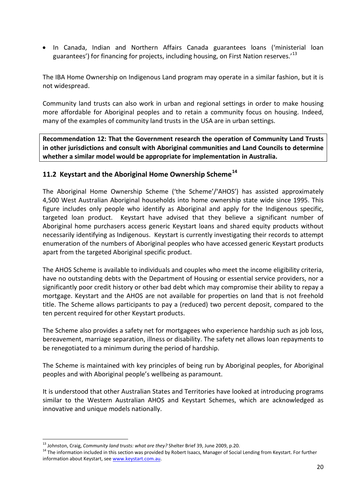• In Canada, Indian and Northern Affairs Canada guarantees loans ('ministerial loan guarantees') for financing for projects, including housing, on First Nation reserves.<sup>[13](#page-19-1)</sup>

The IBA Home Ownership on Indigenous Land program may operate in a similar fashion, but it is not widespread.

Community land trusts can also work in urban and regional settings in order to make housing more affordable for Aboriginal peoples and to retain a community focus on housing. Indeed, many of the examples of community land trusts in the USA are in urban settings.

**Recommendation 12: That the Government research the operation of Community Land Trusts in other jurisdictions and consult with Aboriginal communities and Land Councils to determine whether a similar model would be appropriate for implementation in Australia.**

#### <span id="page-19-0"></span>**11.2 Keystart and the Aboriginal Home Ownership Scheme[14](#page-19-2)**

The Aboriginal Home Ownership Scheme ('the Scheme'/'AHOS') has assisted approximately 4,500 West Australian Aboriginal households into home ownership state wide since 1995. This figure includes only people who identify as Aboriginal and apply for the Indigenous specific, targeted loan product. Keystart have advised that they believe a significant number of Aboriginal home purchasers access generic Keystart loans and shared equity products without necessarily identifying as Indigenous. Keystart is currently investigating their records to attempt enumeration of the numbers of Aboriginal peoples who have accessed generic Keystart products apart from the targeted Aboriginal specific product.

The AHOS Scheme is available to individuals and couples who meet the income eligibility criteria, have no outstanding debts with the Department of Housing or essential service providers, nor a significantly poor credit history or other bad debt which may compromise their ability to repay a mortgage. Keystart and the AHOS are not available for properties on land that is not freehold title. The Scheme allows participants to pay a (reduced) two percent deposit, compared to the ten percent required for other Keystart products.

The Scheme also provides a safety net for mortgagees who experience hardship such as job loss, bereavement, marriage separation, illness or disability. The safety net allows loan repayments to be renegotiated to a minimum during the period of hardship.

The Scheme is maintained with key principles of being run by Aboriginal peoples, for Aboriginal peoples and with Aboriginal people's wellbeing as paramount.

It is understood that other Australian States and Territories have looked at introducing programs similar to the Western Australian AHOS and Keystart Schemes, which are acknowledged as innovative and unique models nationally.

<span id="page-19-2"></span><span id="page-19-1"></span><sup>&</sup>lt;sup>13</sup> Johnston, Craig, *Community land trusts: what are they?* Shelter Brief 39, June 2009, p.20.<br><sup>14</sup> The information included in this section was provided by Robert Isaacs, Manager of Social Lending from Keystart. For fu information about Keystart, see [www.keystart.com.au.](http://www.keystart.com.au/)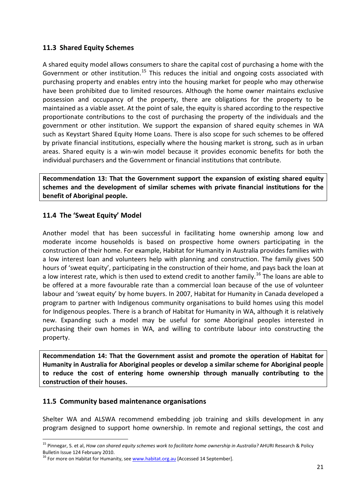#### <span id="page-20-0"></span>**11.3 Shared Equity Schemes**

A shared equity model allows consumers to share the capital cost of purchasing a home with the Government or other institution.<sup>[15](#page-20-3)</sup> This reduces the initial and ongoing costs associated with purchasing property and enables entry into the housing market for people who may otherwise have been prohibited due to limited resources. Although the home owner maintains exclusive possession and occupancy of the property, there are obligations for the property to be maintained as a viable asset. At the point of sale, the equity is shared according to the respective proportionate contributions to the cost of purchasing the property of the individuals and the government or other institution. We support the expansion of shared equity schemes in WA such as Keystart Shared Equity Home Loans. There is also scope for such schemes to be offered by private financial institutions, especially where the housing market is strong, such as in urban areas. Shared equity is a win-win model because it provides economic benefits for both the individual purchasers and the Government or financial institutions that contribute.

**Recommendation 13: That the Government support the expansion of existing shared equity schemes and the development of similar schemes with private financial institutions for the benefit of Aboriginal people.**

#### <span id="page-20-1"></span>**11.4 The 'Sweat Equity' Model**

Another model that has been successful in facilitating home ownership among low and moderate income households is based on prospective home owners participating in the construction of their home. For example, Habitat for Humanity in Australia provides families with a low interest loan and volunteers help with planning and construction. The family gives 500 hours of 'sweat equity', participating in the construction of their home, and pays back the loan at a low interest rate, which is then used to extend credit to another family.<sup>[16](#page-20-4)</sup> The loans are able to be offered at a more favourable rate than a commercial loan because of the use of volunteer labour and 'sweat equity' by home buyers. In 2007, Habitat for Humanity in Canada developed a program to partner with Indigenous community organisations to build homes using this model for Indigenous peoples. There is a branch of Habitat for Humanity in WA, although it is relatively new. Expanding such a model may be useful for some Aboriginal peoples interested in purchasing their own homes in WA, and willing to contribute labour into constructing the property.

**Recommendation 14: That the Government assist and promote the operation of Habitat for Humanity in Australia for Aboriginal peoples or develop a similar scheme for Aboriginal people to reduce the cost of entering home ownership through manually contributing to the construction of their houses.**

#### <span id="page-20-2"></span>**11.5 Community based maintenance organisations**

Shelter WA and ALSWA recommend embedding job training and skills development in any program designed to support home ownership. In remote and regional settings, the cost and

<span id="page-20-3"></span> <sup>15</sup> Pinnegar, S. et al, *How can shared equity schemes work to facilitate home ownership in Australia?* AHURI Research & Policy Bulletin Issue 124 February 2010.

<span id="page-20-4"></span><sup>&</sup>lt;sup>16</sup> For more on Habitat for Humanity, se[e www.habitat.org.au](http://www.habitat.org.au/) [Accessed 14 September].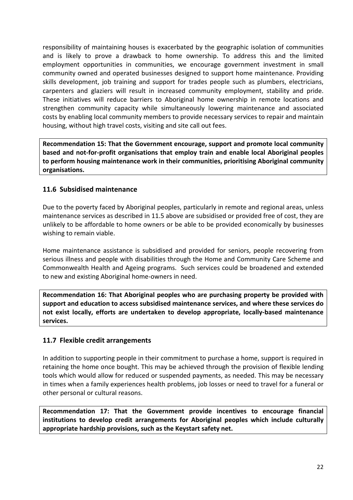responsibility of maintaining houses is exacerbated by the geographic isolation of communities and is likely to prove a drawback to home ownership. To address this and the limited employment opportunities in communities, we encourage government investment in small community owned and operated businesses designed to support home maintenance. Providing skills development, job training and support for trades people such as plumbers, electricians, carpenters and glaziers will result in increased community employment, stability and pride. These initiatives will reduce barriers to Aboriginal home ownership in remote locations and strengthen community capacity while simultaneously lowering maintenance and associated costs by enabling local community members to provide necessary services to repair and maintain housing, without high travel costs, visiting and site call out fees.

**Recommendation 15: That the Government encourage, support and promote local community based and not-for-profit organisations that employ train and enable local Aboriginal peoples to perform housing maintenance work in their communities, prioritising Aboriginal community organisations.**

#### <span id="page-21-0"></span>**11.6 Subsidised maintenance**

Due to the poverty faced by Aboriginal peoples, particularly in remote and regional areas, unless maintenance services as described in 11.5 above are subsidised or provided free of cost, they are unlikely to be affordable to home owners or be able to be provided economically by businesses wishing to remain viable.

Home maintenance assistance is subsidised and provided for seniors, people recovering from serious illness and people with disabilities through the Home and Community Care Scheme and Commonwealth Health and Ageing programs. Such services could be broadened and extended to new and existing Aboriginal home-owners in need.

**Recommendation 16: That Aboriginal peoples who are purchasing property be provided with support and education to access subsidised maintenance services, and where these services do not exist locally, efforts are undertaken to develop appropriate, locally-based maintenance services.**

#### <span id="page-21-1"></span>**11.7 Flexible credit arrangements**

In addition to supporting people in their commitment to purchase a home, support is required in retaining the home once bought. This may be achieved through the provision of flexible lending tools which would allow for reduced or suspended payments, as needed. This may be necessary in times when a family experiences health problems, job losses or need to travel for a funeral or other personal or cultural reasons.

**Recommendation 17: That the Government provide incentives to encourage financial institutions to develop credit arrangements for Aboriginal peoples which include culturally appropriate hardship provisions, such as the Keystart safety net.**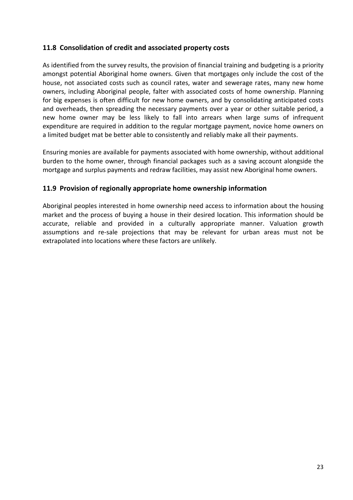#### <span id="page-22-0"></span>**11.8 Consolidation of credit and associated property costs**

As identified from the survey results, the provision of financial training and budgeting is a priority amongst potential Aboriginal home owners. Given that mortgages only include the cost of the house, not associated costs such as council rates, water and sewerage rates, many new home owners, including Aboriginal people, falter with associated costs of home ownership. Planning for big expenses is often difficult for new home owners, and by consolidating anticipated costs and overheads, then spreading the necessary payments over a year or other suitable period, a new home owner may be less likely to fall into arrears when large sums of infrequent expenditure are required in addition to the regular mortgage payment, novice home owners on a limited budget mat be better able to consistently and reliably make all their payments.

Ensuring monies are available for payments associated with home ownership, without additional burden to the home owner, through financial packages such as a saving account alongside the mortgage and surplus payments and redraw facilities, may assist new Aboriginal home owners.

#### <span id="page-22-1"></span>**11.9 Provision of regionally appropriate home ownership information**

<span id="page-22-2"></span>Aboriginal peoples interested in home ownership need access to information about the housing market and the process of buying a house in their desired location. This information should be accurate, reliable and provided in a culturally appropriate manner. Valuation growth assumptions and re-sale projections that may be relevant for urban areas must not be extrapolated into locations where these factors are unlikely.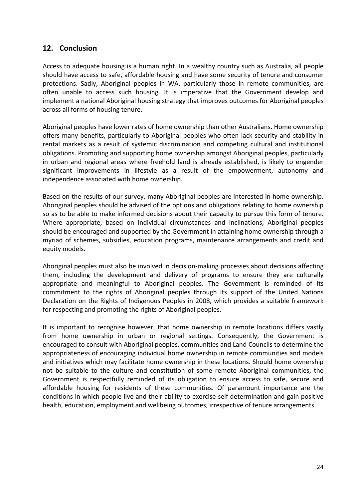#### **12. Conclusion**

Access to adequate housing is a human right. In a wealthy country such as Australia, all people should have access to safe, affordable housing and have some security of tenure and consumer protections. Sadly, Aboriginal peoples in WA, particularly those in remote communities, are often unable to access such housing. It is imperative that the Government develop and implement a national Aboriginal housing strategy that improves outcomes for Aboriginal peoples across all forms of housing tenure.

Aboriginal peoples have lower rates of home ownership than other Australians. Home ownership offers many benefits, particularly to Aboriginal peoples who often lack security and stability in rental markets as a result of systemic discrimination and competing cultural and institutional obligations. Promoting and supporting home ownership amongst Aboriginal peoples, particularly in urban and regional areas where freehold land is already established, is likely to engender significant improvements in lifestyle as a result of the empowerment, autonomy and independence associated with home ownership.

Based on the results of our survey, many Aboriginal peoples are interested in home ownership. Aboriginal peoples should be advised of the options and obligations relating to home ownership so as to be able to make informed decisions about their capacity to pursue this form of tenure. Where appropriate, based on individual circumstances and inclinations, Aboriginal peoples should be encouraged and supported by the Government in attaining home ownership through a myriad of schemes, subsidies, education programs, maintenance arrangements and credit and equity models.

Aboriginal peoples must also be involved in decision-making processes about decisions affecting them, including the development and delivery of programs to ensure they are culturally appropriate and meaningful to Aboriginal peoples. The Government is reminded of its commitment to the rights of Aboriginal peoples through its support of the United Nations Declaration on the Rights of Indigenous Peoples in 2008, which provides a suitable framework for respecting and promoting the rights of Aboriginal peoples.

It is important to recognise however, that home ownership in remote locations differs vastly from home ownership in urban or regional settings. Consequently, the Government is encouraged to consult with Aboriginal peoples, communities and Land Councils to determine the appropriateness of encouraging individual home ownership in remote communities and models and initiatives which may facilitate home ownership in these locations. Should home ownership not be suitable to the culture and constitution of some remote Aboriginal communities, the Government is respectfully reminded of its obligation to ensure access to safe, secure and affordable housing for residents of these communities. Of paramount importance are the conditions in which people live and their ability to exercise self determination and gain positive health, education, employment and wellbeing outcomes, irrespective of tenure arrangements.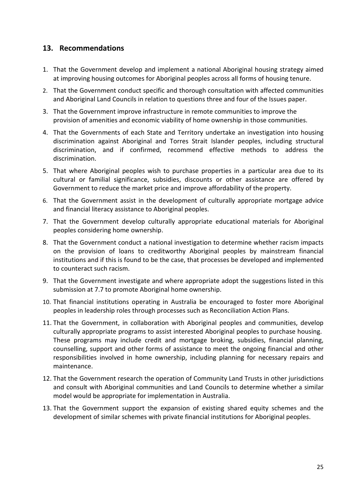#### <span id="page-24-0"></span>**13. Recommendations**

- 1. That the Government develop and implement a national Aboriginal housing strategy aimed at improving housing outcomes for Aboriginal peoples across all forms of housing tenure.
- 2. That the Government conduct specific and thorough consultation with affected communities and Aboriginal Land Councils in relation to questions three and four of the Issues paper.
- 3. That the Government improve infrastructure in remote communities to improve the provision of amenities and economic viability of home ownership in those communities.
- 4. That the Governments of each State and Territory undertake an investigation into housing discrimination against Aboriginal and Torres Strait Islander peoples, including structural discrimination, and if confirmed, recommend effective methods to address the discrimination.
- 5. That where Aboriginal peoples wish to purchase properties in a particular area due to its cultural or familial significance, subsidies, discounts or other assistance are offered by Government to reduce the market price and improve affordability of the property.
- 6. That the Government assist in the development of culturally appropriate mortgage advice and financial literacy assistance to Aboriginal peoples.
- 7. That the Government develop culturally appropriate educational materials for Aboriginal peoples considering home ownership.
- 8. That the Government conduct a national investigation to determine whether racism impacts on the provision of loans to creditworthy Aboriginal peoples by mainstream financial institutions and if this is found to be the case, that processes be developed and implemented to counteract such racism.
- 9. That the Government investigate and where appropriate adopt the suggestions listed in this submission at 7.7 to promote Aboriginal home ownership.
- 10. That financial institutions operating in Australia be encouraged to foster more Aboriginal peoples in leadership roles through processes such as Reconciliation Action Plans.
- 11. That the Government, in collaboration with Aboriginal peoples and communities, develop culturally appropriate programs to assist interested Aboriginal peoples to purchase housing. These programs may include credit and mortgage broking, subsidies, financial planning, counselling, support and other forms of assistance to meet the ongoing financial and other responsibilities involved in home ownership, including planning for necessary repairs and maintenance.
- 12. That the Government research the operation of Community Land Trusts in other jurisdictions and consult with Aboriginal communities and Land Councils to determine whether a similar model would be appropriate for implementation in Australia.
- 13. That the Government support the expansion of existing shared equity schemes and the development of similar schemes with private financial institutions for Aboriginal peoples.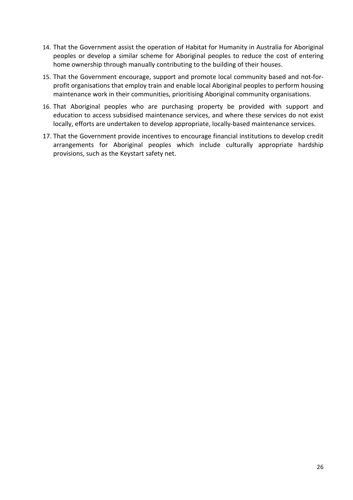- 14. That the Government assist the operation of Habitat for Humanity in Australia for Aboriginal peoples or develop a similar scheme for Aboriginal peoples to reduce the cost of entering home ownership through manually contributing to the building of their houses.
- 15. That the Government encourage, support and promote local community based and not-forprofit organisations that employ train and enable local Aboriginal peoples to perform housing maintenance work in their communities, prioritising Aboriginal community organisations.
- 16. That Aboriginal peoples who are purchasing property be provided with support and education to access subsidised maintenance services, and where these services do not exist locally, efforts are undertaken to develop appropriate, locally-based maintenance services.
- 17. That the Government provide incentives to encourage financial institutions to develop credit arrangements for Aboriginal peoples which include culturally appropriate hardship provisions, such as the Keystart safety net.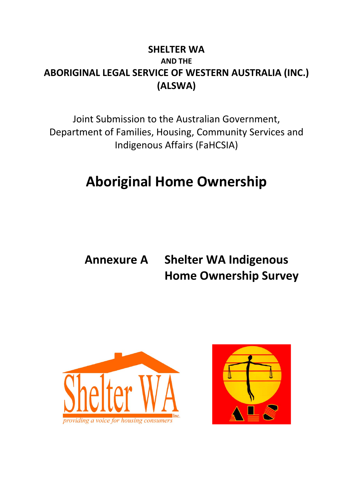### **SHELTER WA AND THE ABORIGINAL LEGAL SERVICE OF WESTERN AUSTRALIA (INC.) (ALSWA)**

Joint Submission to the Australian Government, Department of Families, Housing, Community Services and Indigenous Affairs (FaHCSIA)

## **Aboriginal Home Ownership**

## **Annexure A Shelter WA Indigenous Home Ownership Survey**



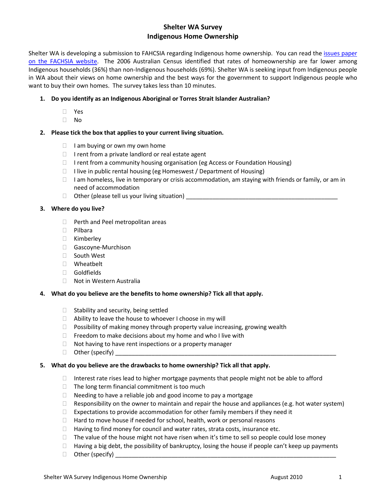#### **Shelter WA Survey Indigenous Home Ownership**

Shelter WA is developing a submission to FAHCSIA regarding Indigenous home ownership. You can read the [issues paper](http://www.fahcsia.gov.au/sa/indigenous/progserv/housing/Pages/IndigenousHomeownership_IssuesPaper.aspx)  on [the FACHSIA website.](http://www.fahcsia.gov.au/sa/indigenous/progserv/housing/Pages/IndigenousHomeownership_IssuesPaper.aspx) The 2006 Australian Census identified that rates of homeownership are far lower among Indigenous households (36%) than non-Indigenous households (69%). Shelter WA is seeking input from Indigenous people in WA about their views on home ownership and the best ways for the government to support Indigenous people who want to buy their own homes. The survey takes less than 10 minutes.

#### **1. Do you identify as an Indigenous Aboriginal or Torres Strait Islander Australian?**

- Yes
- $\Box$  No

#### **2. Please tick the box that applies to your current living situation.**

- $\Box$  I am buying or own my own home
- $\Box$  I rent from a private landlord or real estate agent
- □ I rent from a community housing organisation (eg Access or Foundation Housing)
- $\Box$  I live in public rental housing (eg Homeswest / Department of Housing)
- $\Box$  I am homeless, live in temporary or crisis accommodation, am staying with friends or family, or am in need of accommodation
- Other (please tell us your living situation) \_\_\_\_\_\_\_\_\_\_\_\_\_\_\_\_\_\_\_\_\_\_\_\_\_\_\_\_\_\_\_\_\_\_\_

#### **3. Where do you live?**

- D Perth and Peel metropolitan areas
- D Pilbara
- □ Kimberley
- Gascoyne-Murchison
- □ South West
- Wheatbelt
- Goldfields
- Not in Western Australia

#### **4. What do you believe are the benefits to home ownership? Tick all that apply.**

- $\Box$  Stability and security, being settled
- $\Box$  Ability to leave the house to whoever I choose in my will
- $\Box$  Possibility of making money through property value increasing, growing wealth
- $\Box$  Freedom to make decisions about my home and who I live with
- $\Box$  Not having to have rent inspections or a property manager
- $\Box$  Other (specify)

#### **5. What do you believe are the drawbacks to home ownership? Tick all that apply.**

- $\Box$  Interest rate rises lead to higher mortgage payments that people might not be able to afford
- $\Box$  The long term financial commitment is too much
- $\Box$  Needing to have a reliable job and good income to pay a mortgage
- $\Box$  Responsibility on the owner to maintain and repair the house and appliances (e.g. hot water system)
- $\Box$  Expectations to provide accommodation for other family members if they need it
- $\Box$  Hard to move house if needed for school, health, work or personal reasons
- $\Box$  Having to find money for council and water rates, strata costs, insurance etc.
- $\Box$  The value of the house might not have risen when it's time to sell so people could lose money
- $\Box$  Having a big debt, the possibility of bankruptcy, losing the house if people can't keep up payments
- $\Box$  Other (specify)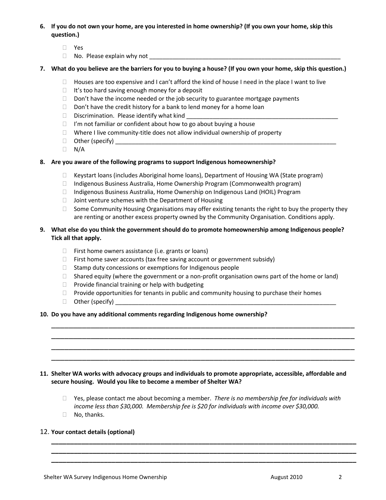#### **6. If you do not own your home, are you interested in home ownership? (If you own your home, skip this question.)**

- Yes
- $\Box$  No. Please explain why not

#### **7. What do you believe are the barriers for you to buying a house? (If you own your home, skip this question.)**

- $\Box$  Houses are too expensive and I can't afford the kind of house I need in the place I want to live
- $\Box$  It's too hard saving enough money for a deposit
- $\Box$  Don't have the income needed or the job security to guarantee mortgage payments
- $\Box$  Don't have the credit history for a bank to lend money for a home loan
- $\Box$  Discrimination. Please identify what kind
- $\Box$  I'm not familiar or confident about how to go about buying a house
- $\Box$  Where I live community-title does not allow individual ownership of property
- $\Box$  Other (specify)
- $\Box$  N/A

#### **8. Are you aware of the following programs to support Indigenous homeownership?**

- $\Box$  Keystart loans (includes Aboriginal home loans), Department of Housing WA (State program)
- □ Indigenous Business Australia, Home Ownership Program (Commonwealth program)
- □ Indigenous Business Australia, Home Ownership on Indigenous Land (HOIL) Program
- $\Box$  Joint venture schemes with the Department of Housing
- $\Box$  Some Community Housing Organisations may offer existing tenants the right to buy the property they are renting or another excess property owned by the Community Organisation. Conditions apply.

#### **9. What else do you think the government should do to promote homeownership among Indigenous people? Tick all that apply.**

- $\Box$  First home owners assistance (i.e. grants or loans)
- $\Box$  First home saver accounts (tax free saving account or government subsidy)
- $\Box$  Stamp duty concessions or exemptions for Indigenous people
- $\Box$  Shared equity (where the government or a non-profit organisation owns part of the home or land)

\_\_\_\_\_\_\_\_\_\_\_\_\_\_\_\_\_\_\_\_\_\_\_\_\_\_\_\_\_\_\_\_\_\_\_\_\_\_\_\_\_\_\_\_\_\_\_\_\_\_\_\_\_\_\_\_\_\_\_\_\_\_\_\_\_\_\_\_\_  $\_$  , and the contribution of the contribution of  $\mathcal{L}_\mathcal{A}$  , and the contribution of  $\mathcal{L}_\mathcal{A}$ \_\_\_\_\_\_\_\_\_\_\_\_\_\_\_\_\_\_\_\_\_\_\_\_\_\_\_\_\_\_\_\_\_\_\_\_\_\_\_\_\_\_\_\_\_\_\_\_\_\_\_\_\_\_\_\_\_\_\_\_\_\_\_\_\_\_\_\_\_ \_\_\_\_\_\_\_\_\_\_\_\_\_\_\_\_\_\_\_\_\_\_\_\_\_\_\_\_\_\_\_\_\_\_\_\_\_\_\_\_\_\_\_\_\_\_\_\_\_\_\_\_\_\_\_\_\_\_\_\_\_\_\_\_\_\_\_\_\_

- $\Box$  Provide financial training or help with budgeting
- $\Box$  Provide opportunities for tenants in public and community housing to purchase their homes
- $\Box$  Other (specify)

#### **10. Do you have any additional comments regarding Indigenous home ownership?**

#### **11. Shelter WA works with advocacy groups and individuals to promote appropriate, accessible, affordable and secure housing. Would you like to become a member of Shelter WA?**

 Yes, please contact me about becoming a member. *There is no membership fee for individuals with income less than \$30,000. Membership fee is \$20 for individuals with income over \$30,000.*

**\_\_\_\_\_\_\_\_\_\_\_\_\_\_\_\_\_\_\_\_\_\_\_\_\_\_\_\_\_\_\_\_\_\_\_\_\_\_\_\_\_\_\_\_\_\_\_\_\_\_\_\_\_\_\_\_\_\_\_\_\_\_\_\_\_\_\_\_\_\_\_\_\_\_\_\_\_\_\_\_\_ \_\_\_\_\_\_\_\_\_\_\_\_\_\_\_\_\_\_\_\_\_\_\_\_\_\_\_\_\_\_\_\_\_\_\_\_\_\_\_\_\_\_\_\_\_\_\_\_\_\_\_\_\_\_\_\_\_\_\_\_\_\_\_\_\_\_\_\_\_\_\_\_\_\_\_\_\_\_\_\_\_ \_\_\_\_\_\_\_\_\_\_\_\_\_\_\_\_\_\_\_\_\_\_\_\_\_\_\_\_\_\_\_\_\_\_\_\_\_\_\_\_\_\_\_\_\_\_\_\_\_\_\_\_\_\_\_\_\_\_\_\_\_\_\_\_\_\_\_\_\_\_\_\_\_\_\_\_\_\_\_\_\_**

□ No, thanks.

#### 12. **Your contact details (optional)**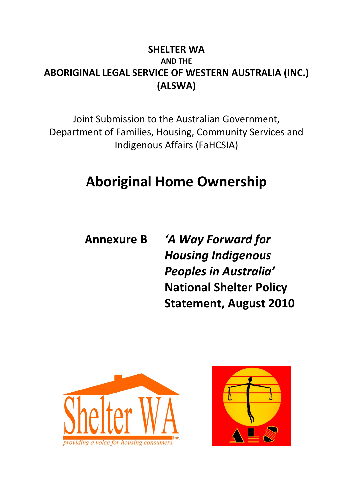### **SHELTER WA AND THE ABORIGINAL LEGAL SERVICE OF WESTERN AUSTRALIA (INC.) (ALSWA)**

Joint Submission to the Australian Government, Department of Families, Housing, Community Services and Indigenous Affairs (FaHCSIA)

## **Aboriginal Home Ownership**

**Annexure B** *'A Way Forward for Housing Indigenous Peoples in Australia'* **National Shelter Policy Statement, August 2010**



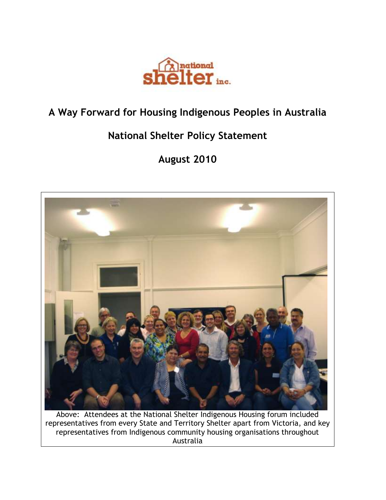

## **A Way Forward for Housing Indigenous Peoples in Australia**

## **National Shelter Policy Statement**

## **August 2010**



Above: Attendees at the National Shelter Indigenous Housing forum included representatives from every State and Territory Shelter apart from Victoria, and key representatives from Indigenous community housing organisations throughout Australia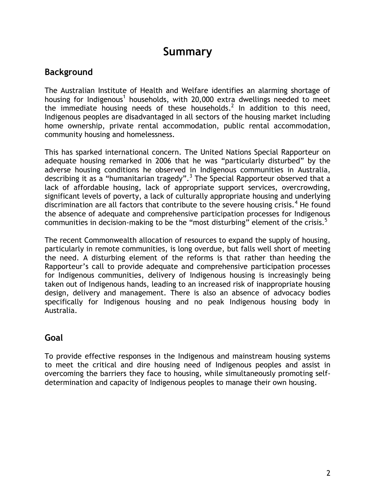### **Summary**

#### **Background**

The Australian Institute of Health and Welfare identifies an alarming shortage of housing for Indigenous<sup>1</sup> households, with 20,000 extra dwellings needed to meet the immediate housing needs of these households.<sup>2</sup> In addition to this need, Indigenous peoples are disadvantaged in all sectors of the housing market including home ownership, private rental accommodation, public rental accommodation, community housing and homelessness.

This has sparked international concern. The United Nations Special Rapporteur on adequate housing remarked in 2006 that he was "particularly disturbed" by the adverse housing conditions he observed in Indigenous communities in Australia, describing it as a "humanitarian tragedy".<sup>3</sup> The Special Rapporteur observed that a lack of affordable housing, lack of appropriate support services, overcrowding, significant levels of poverty, a lack of culturally appropriate housing and underlying discrimination are all factors that contribute to the severe housing crisis.<sup>4</sup> He found the absence of adequate and comprehensive participation processes for Indigenous communities in decision-making to be the "most disturbing" element of the crisis. $5$ 

The recent Commonwealth allocation of resources to expand the supply of housing, particularly in remote communities, is long overdue, but falls well short of meeting the need. A disturbing element of the reforms is that rather than heeding the Rapporteur"s call to provide adequate and comprehensive participation processes for Indigenous communities, delivery of Indigenous housing is increasingly being taken out of Indigenous hands, leading to an increased risk of inappropriate housing design, delivery and management. There is also an absence of advocacy bodies specifically for Indigenous housing and no peak Indigenous housing body in Australia.

#### **Goal**

To provide effective responses in the Indigenous and mainstream housing systems to meet the critical and dire housing need of Indigenous peoples and assist in overcoming the barriers they face to housing, while simultaneously promoting selfdetermination and capacity of Indigenous peoples to manage their own housing.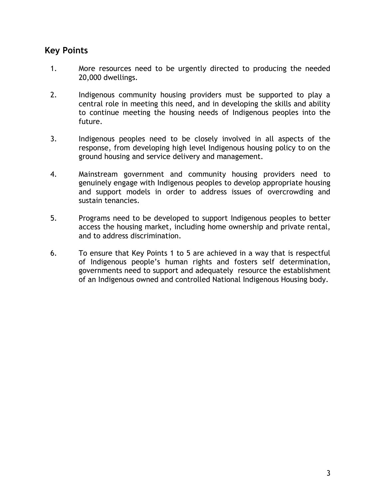#### **Key Points**

- 1. More resources need to be urgently directed to producing the needed 20,000 dwellings.
- 2. Indigenous community housing providers must be supported to play a central role in meeting this need, and in developing the skills and ability to continue meeting the housing needs of Indigenous peoples into the future.
- 3. Indigenous peoples need to be closely involved in all aspects of the response, from developing high level Indigenous housing policy to on the ground housing and service delivery and management.
- 4. Mainstream government and community housing providers need to genuinely engage with Indigenous peoples to develop appropriate housing and support models in order to address issues of overcrowding and sustain tenancies.
- 5. Programs need to be developed to support Indigenous peoples to better access the housing market, including home ownership and private rental, and to address discrimination.
- 6. To ensure that Key Points 1 to 5 are achieved in a way that is respectful of Indigenous people"s human rights and fosters self determination, governments need to support and adequately resource the establishment of an Indigenous owned and controlled National Indigenous Housing body.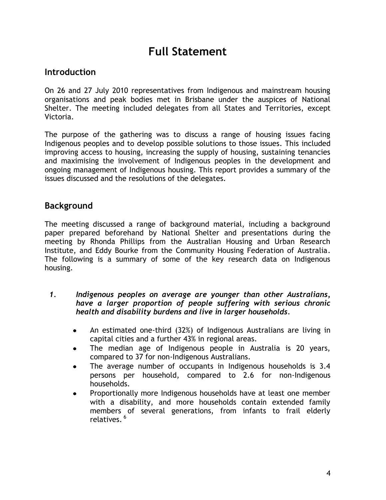## **Full Statement**

#### **Introduction**

On 26 and 27 July 2010 representatives from Indigenous and mainstream housing organisations and peak bodies met in Brisbane under the auspices of National Shelter. The meeting included delegates from all States and Territories, except Victoria.

The purpose of the gathering was to discuss a range of housing issues facing Indigenous peoples and to develop possible solutions to those issues. This included improving access to housing, increasing the supply of housing, sustaining tenancies and maximising the involvement of Indigenous peoples in the development and ongoing management of Indigenous housing. This report provides a summary of the issues discussed and the resolutions of the delegates.

#### **Background**

The meeting discussed a range of background material, including a background paper prepared beforehand by National Shelter and presentations during the meeting by Rhonda Phillips from the Australian Housing and Urban Research Institute, and Eddy Bourke from the Community Housing Federation of Australia. The following is a summary of some of the key research data on Indigenous housing.

- *1. Indigenous peoples on average are younger than other Australians, have a larger proportion of people suffering with serious chronic health and disability burdens and live in larger households.*
	- An estimated one-third (32%) of Indigenous Australians are living in capital cities and a further 43% in regional areas.
	- The median age of Indigenous people in Australia is 20 years, compared to 37 for non-Indigenous Australians.
	- The average number of occupants in Indigenous households is 3.4 persons per household, compared to 2.6 for non-Indigenous households.
	- Proportionally more Indigenous households have at least one member with a disability, and more households contain extended family members of several generations, from infants to frail elderly relatives. 6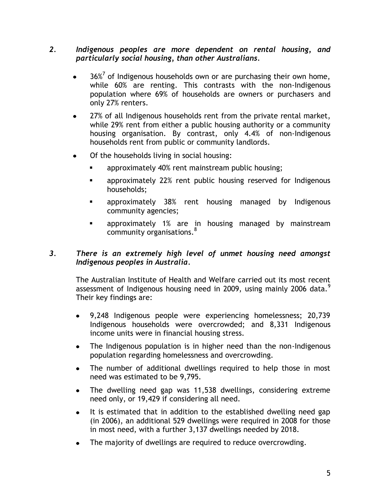#### *2. Indigenous peoples are more dependent on rental housing, and particularly social housing, than other Australians.*

- $36\%$ <sup>7</sup> of Indigenous households own or are purchasing their own home, while 60% are renting. This contrasts with the non-Indigenous population where 69% of households are owners or purchasers and only 27% renters.
- 27% of all Indigenous households rent from the private rental market, while 29% rent from either a public housing authority or a community housing organisation. By contrast, only 4.4% of non-Indigenous households rent from public or community landlords.
- Of the households living in social housing:
	- approximately 40% rent mainstream public housing;
	- **EXECT** approximately 22% rent public housing reserved for Indigenous households;
	- approximately 38% rent housing managed by Indigenous community agencies;
	- **numana Theor** approximately 1% are in housing managed by mainstream community organisations.<sup>8</sup>

#### *3. There is an extremely high level of unmet housing need amongst Indigenous peoples in Australia.*

The Australian Institute of Health and Welfare carried out its most recent assessment of Indigenous housing need in 2009, using mainly 2006 data. $<sup>9</sup>$ </sup> Their key findings are:

- 9,248 Indigenous people were experiencing homelessness; 20,739 Indigenous households were overcrowded; and 8,331 Indigenous income units were in financial housing stress.
- The Indigenous population is in higher need than the non-Indigenous  $\bullet$ population regarding homelessness and overcrowding.
- The number of additional dwellings required to help those in most need was estimated to be 9,795.
- The dwelling need gap was 11,538 dwellings, considering extreme need only, or 19,429 if considering all need.
- It is estimated that in addition to the established dwelling need gap  $\bullet$ (in 2006), an additional 529 dwellings were required in 2008 for those in most need, with a further 3,137 dwellings needed by 2018.
- The majority of dwellings are required to reduce overcrowding.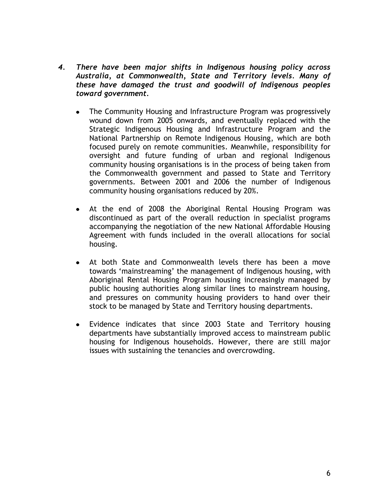- *4. There have been major shifts in Indigenous housing policy across Australia, at Commonwealth, State and Territory levels. Many of these have damaged the trust and goodwill of Indigenous peoples toward government.*
	- The Community Housing and Infrastructure Program was progressively wound down from 2005 onwards, and eventually replaced with the Strategic Indigenous Housing and Infrastructure Program and the National Partnership on Remote Indigenous Housing, which are both focused purely on remote communities. Meanwhile, responsibility for oversight and future funding of urban and regional Indigenous community housing organisations is in the process of being taken from the Commonwealth government and passed to State and Territory governments. Between 2001 and 2006 the number of Indigenous community housing organisations reduced by 20%.
	- At the end of 2008 the Aboriginal Rental Housing Program was discontinued as part of the overall reduction in specialist programs accompanying the negotiation of the new National Affordable Housing Agreement with funds included in the overall allocations for social housing.
	- At both State and Commonwealth levels there has been a move towards "mainstreaming" the management of Indigenous housing, with Aboriginal Rental Housing Program housing increasingly managed by public housing authorities along similar lines to mainstream housing, and pressures on community housing providers to hand over their stock to be managed by State and Territory housing departments.
	- Evidence indicates that since 2003 State and Territory housing departments have substantially improved access to mainstream public housing for Indigenous households. However, there are still major issues with sustaining the tenancies and overcrowding.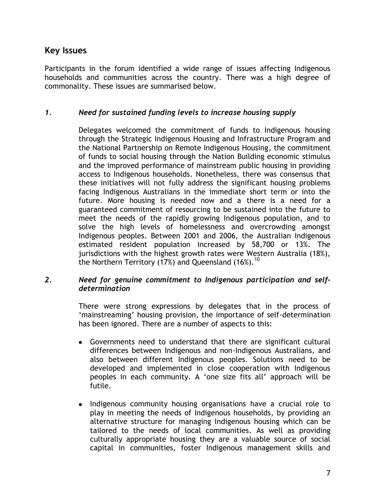#### **Key Issues**

Participants in the forum identified a wide range of issues affecting Indigenous households and communities across the country. There was a high degree of commonality. These issues are summarised below.

#### *1. Need for sustained funding levels to increase housing supply*

Delegates welcomed the commitment of funds to Indigenous housing through the Strategic Indigenous Housing and Infrastructure Program and the National Partnership on Remote Indigenous Housing, the commitment of funds to social housing through the Nation Building economic stimulus and the improved performance of mainstream public housing in providing access to Indigenous households. Nonetheless, there was consensus that these initiatives will not fully address the significant housing problems facing Indigenous Australians in the immediate short term or into the future. More housing is needed now and a there is a need for a guaranteed commitment of resourcing to be sustained into the future to meet the needs of the rapidly growing Indigenous population, and to solve the high levels of homelessness and overcrowding amongst Indigenous peoples. Between 2001 and 2006, the Australian Indigenous estimated resident population increased by 58,700 or 13%. The jurisdictions with the highest growth rates were Western Australia (18%), the Northern Territory (17%) and Queensland (16%).<sup>10</sup>

#### *2. Need for genuine commitment to Indigenous participation and selfdetermination*

There were strong expressions by delegates that in the process of "mainstreaming" housing provision, the importance of self-determination has been ignored. There are a number of aspects to this:

- Governments need to understand that there are significant cultural differences between Indigenous and non-Indigenous Australians, and also between different Indigenous peoples. Solutions need to be developed and implemented in close cooperation with Indigenous peoples in each community. A "one size fits all" approach will be futile.
- Indigenous community housing organisations have a crucial role to play in meeting the needs of Indigenous households, by providing an alternative structure for managing Indigenous housing which can be tailored to the needs of local communities. As well as providing culturally appropriate housing they are a valuable source of social capital in communities, foster Indigenous management skills and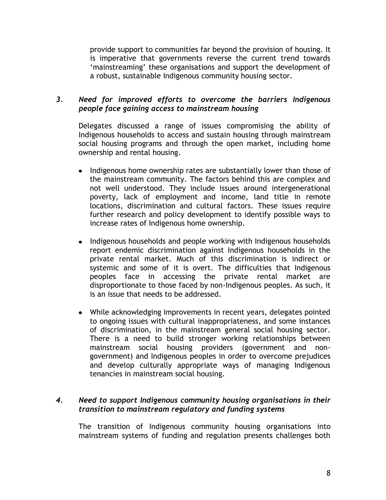provide support to communities far beyond the provision of housing. It is imperative that governments reverse the current trend towards "mainstreaming" these organisations and support the development of a robust, sustainable Indigenous community housing sector.

#### *3. Need for improved efforts to overcome the barriers Indigenous people face gaining access to mainstream housing*

Delegates discussed a range of issues compromising the ability of Indigenous households to access and sustain housing through mainstream social housing programs and through the open market, including home ownership and rental housing.

- Indigenous home ownership rates are substantially lower than those of the mainstream community. The factors behind this are complex and not well understood. They include issues around intergenerational poverty, lack of employment and income, land title in remote locations, discrimination and cultural factors. These issues require further research and policy development to identify possible ways to increase rates of Indigenous home ownership.
- Indigenous households and people working with Indigenous households report endemic discrimination against Indigenous households in the private rental market. Much of this discrimination is indirect or systemic and some of it is overt. The difficulties that Indigenous peoples face in accessing the private rental market are disproportionate to those faced by non-Indigenous peoples. As such, it is an issue that needs to be addressed.
- While acknowledging improvements in recent years, delegates pointed to ongoing issues with cultural inappropriateness, and some instances of discrimination, in the mainstream general social housing sector. There is a need to build stronger working relationships between mainstream social housing providers (government and nongovernment) and Indigenous peoples in order to overcome prejudices and develop culturally appropriate ways of managing Indigenous tenancies in mainstream social housing.

#### *4. Need to support Indigenous community housing organisations in their transition to mainstream regulatory and funding systems*

The transition of Indigenous community housing organisations into mainstream systems of funding and regulation presents challenges both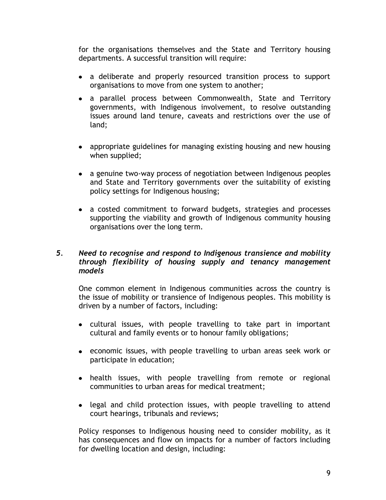for the organisations themselves and the State and Territory housing departments. A successful transition will require:

- a deliberate and properly resourced transition process to support organisations to move from one system to another;
- a parallel process between Commonwealth, State and Territory governments, with Indigenous involvement, to resolve outstanding issues around land tenure, caveats and restrictions over the use of land;
- appropriate guidelines for managing existing housing and new housing when supplied;
- a genuine two-way process of negotiation between Indigenous peoples and State and Territory governments over the suitability of existing policy settings for Indigenous housing;
- a costed commitment to forward budgets, strategies and processes supporting the viability and growth of Indigenous community housing organisations over the long term.

#### *5. Need to recognise and respond to Indigenous transience and mobility through flexibility of housing supply and tenancy management models*

One common element in Indigenous communities across the country is the issue of mobility or transience of Indigenous peoples. This mobility is driven by a number of factors, including:

- cultural issues, with people travelling to take part in important cultural and family events or to honour family obligations;
- economic issues, with people travelling to urban areas seek work or participate in education;
- health issues, with people travelling from remote or regional communities to urban areas for medical treatment;
- legal and child protection issues, with people travelling to attend court hearings, tribunals and reviews;

Policy responses to Indigenous housing need to consider mobility, as it has consequences and flow on impacts for a number of factors including for dwelling location and design, including: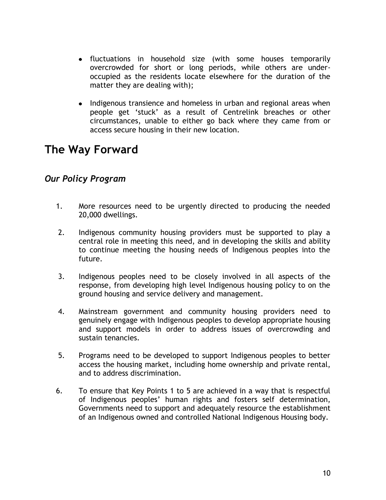- fluctuations in household size (with some houses temporarily overcrowded for short or long periods, while others are underoccupied as the residents locate elsewhere for the duration of the matter they are dealing with);
- Indigenous transience and homeless in urban and regional areas when people get "stuck" as a result of Centrelink breaches or other circumstances, unable to either go back where they came from or access secure housing in their new location.

## **The Way Forward**

#### *Our Policy Program*

- 1. More resources need to be urgently directed to producing the needed 20,000 dwellings.
- 2. Indigenous community housing providers must be supported to play a central role in meeting this need, and in developing the skills and ability to continue meeting the housing needs of Indigenous peoples into the future.
- 3. Indigenous peoples need to be closely involved in all aspects of the response, from developing high level Indigenous housing policy to on the ground housing and service delivery and management.
- 4. Mainstream government and community housing providers need to genuinely engage with Indigenous peoples to develop appropriate housing and support models in order to address issues of overcrowding and sustain tenancies.
- 5. Programs need to be developed to support Indigenous peoples to better access the housing market, including home ownership and private rental, and to address discrimination.
- 6. To ensure that Key Points 1 to 5 are achieved in a way that is respectful of Indigenous peoples" human rights and fosters self determination, Governments need to support and adequately resource the establishment of an Indigenous owned and controlled National Indigenous Housing body.